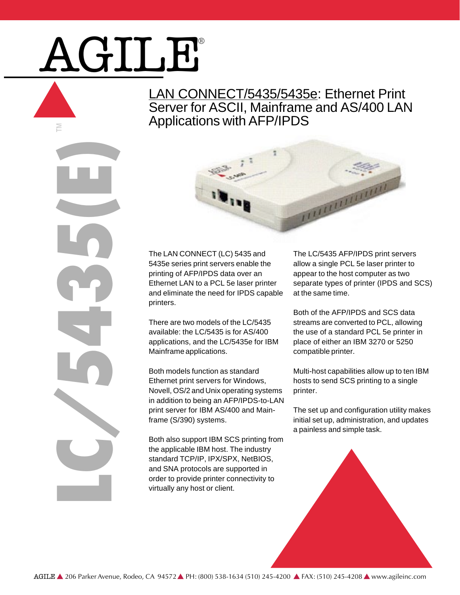# AGILE®

LC/5435(E)

È

LAN CONNECT/5435/5435e: Ethernet Print Server for ASCII, Mainframe and AS/400 LAN Applications with AFP/IPDS



The LAN CONNECT (LC) 5435 and 5435e series print servers enable the printing of AFP/IPDS data over an Ethernet LAN to a PCL 5e laser printer and eliminate the need for IPDS capable printers.

There are two models of the LC/5435 available: the LC/5435 is for AS/400 applications, and the LC/5435e for IBM Mainframe applications.

Both models function as standard Ethernet print servers for Windows, Novell, OS/2 and Unix operating systems in addition to being an AFP/IPDS-to-LAN print server for IBM AS/400 and Mainframe (S/390) systems.

Both also support IBM SCS printing from the applicable IBM host. The industry standard TCP/IP, IPX/SPX, NetBIOS, and SNA protocols are supported in order to provide printer connectivity to virtually any host or client.

The LC/5435 AFP/IPDS print servers allow a single PCL 5e laser printer to appear to the host computer as two separate types of printer (IPDS and SCS) at the same time.

Both of the AFP/IPDS and SCS data streams are converted to PCL, allowing the use of a standard PCL 5e printer in place of either an IBM 3270 or 5250 compatible printer.

Multi-host capabilities allow up to ten IBM hosts to send SCS printing to a single printer.

The set up and configuration utility makes initial set up, administration, and updates a painless and simple task.